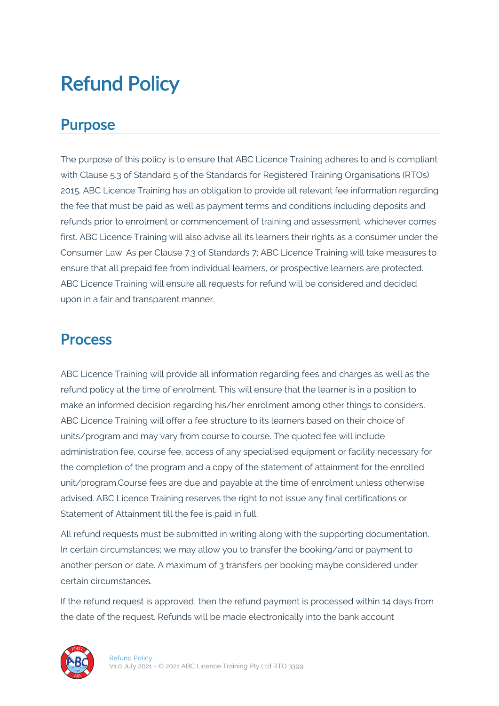# Refund Policy

#### Purpose

The purpose of this policy is to ensure that ABC Licence Training adheres to and is compliant with Clause 5.3 of Standard 5 of the Standards for Registered Training Organisations (RTOs) 2015. ABC Licence Training has an obligation to provide all relevant fee information regarding the fee that must be paid as well as payment terms and conditions including deposits and refunds prior to enrolment or commencement of training and assessment, whichever comes first. ABC Licence Training will also advise all its learners their rights as a consumer under the Consumer Law. As per Clause 7.3 of Standards 7; ABC Licence Training will take measures to ensure that all prepaid fee from individual learners, or prospective learners are protected. ABC Licence Training will ensure all requests for refund will be considered and decided upon in a fair and transparent manner.

#### Process

ABC Licence Training will provide all information regarding fees and charges as well as the refund policy at the time of enrolment. This will ensure that the learner is in a position to make an informed decision regarding his/her enrolment among other things to considers. ABC Licence Training will offer a fee structure to its learners based on their choice of units/program and may vary from course to course. The quoted fee will include administration fee, course fee, access of any specialised equipment or facility necessary for the completion of the program and a copy of the statement of attainment for the enrolled unit/program.Course fees are due and payable at the time of enrolment unless otherwise advised. ABC Licence Training reserves the right to not issue any final certifications or Statement of Attainment till the fee is paid in full.

All refund requests must be submitted in writing along with the supporting documentation. In certain circumstances; we may allow you to transfer the booking/and or payment to another person or date. A maximum of 3 transfers per booking maybe considered under certain circumstances.

If the refund request is approved, then the refund payment is processed within 14 days from the date of the request. Refunds will be made electronically into the bank account

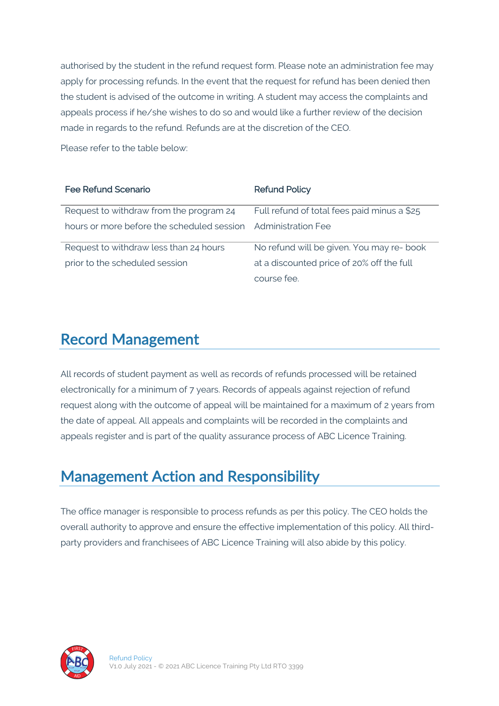authorised by the student in the refund request form. Please note an administration fee may apply for processing refunds. In the event that the request for refund has been denied then the student is advised of the outcome in writing. A student may access the complaints and appeals process if he/she wishes to do so and would like a further review of the decision made in regards to the refund. Refunds are at the discretion of the CEO.

Please refer to the table below:

| <b>Fee Refund Scenario</b>                 | <b>Refund Policy</b>                        |
|--------------------------------------------|---------------------------------------------|
| Request to withdraw from the program 24    | Full refund of total fees paid minus a \$25 |
| hours or more before the scheduled session | <b>Administration Fee</b>                   |
| Request to withdraw less than 24 hours     | No refund will be given. You may re- book   |
| prior to the scheduled session             | at a discounted price of 20% off the full   |
|                                            | course fee.                                 |

#### Record Management

All records of student payment as well as records of refunds processed will be retained electronically for a minimum of 7 years. Records of appeals against rejection of refund request along with the outcome of appeal will be maintained for a maximum of 2 years from the date of appeal. All appeals and complaints will be recorded in the complaints and appeals register and is part of the quality assurance process of ABC Licence Training.

### Management Action and Responsibility

The office manager is responsible to process refunds as per this policy. The CEO holds the overall authority to approve and ensure the effective implementation of this policy. All thirdparty providers and franchisees of ABC Licence Training will also abide by this policy.